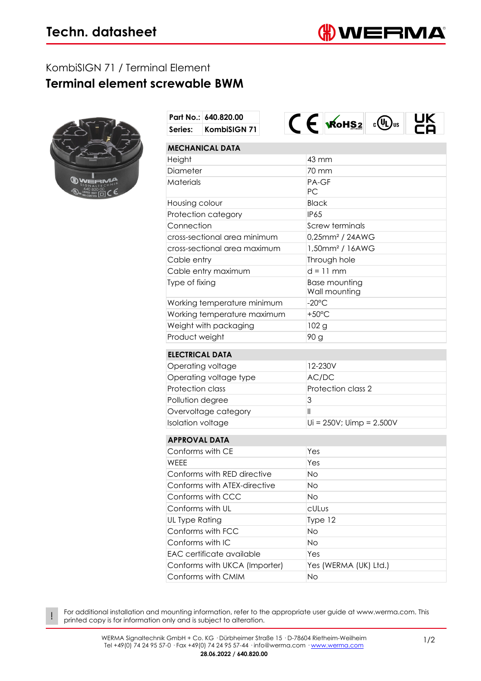## KombiSIGN 71 / Terminal Element **Terminal element screwable BWM**



!

|                               | Part No.: 640.820.00   |    | $C \in$ $Kohs2$                       | lus |  |  |
|-------------------------------|------------------------|----|---------------------------------------|-----|--|--|
| Series:                       | KombiSIGN 71           |    |                                       |     |  |  |
|                               | <b>MECHANICAL DATA</b> |    |                                       |     |  |  |
| Height                        |                        |    | 43 mm                                 |     |  |  |
| Diameter                      |                        |    | 70 mm                                 |     |  |  |
| Materials                     |                        |    | PA-GF                                 |     |  |  |
|                               |                        |    | PC                                    |     |  |  |
| Housing colour                |                        |    | <b>Black</b>                          |     |  |  |
| Protection category           |                        |    | <b>IP65</b>                           |     |  |  |
| Connection                    |                        |    | <b>Screw terminals</b>                |     |  |  |
| cross-sectional area minimum  |                        |    | 0,25mm <sup>2</sup> / 24AWG           |     |  |  |
| cross-sectional area maximum  |                        |    | 1,50mm <sup>2</sup> / 16AWG           |     |  |  |
| Cable entry                   |                        |    | Through hole                          |     |  |  |
| Cable entry maximum           |                        |    | $d = 11$ mm                           |     |  |  |
| Type of fixing                |                        |    | <b>Base mounting</b><br>Wall mounting |     |  |  |
| Working temperature minimum   |                        |    | $-20^{\circ}$ C                       |     |  |  |
| Working temperature maximum   |                        |    | $+50^{\circ}$ C                       |     |  |  |
| Weight with packaging         |                        |    | 102 <sub>g</sub>                      |     |  |  |
| Product weight                |                        |    | 90 g                                  |     |  |  |
| <b>ELECTRICAL DATA</b>        |                        |    |                                       |     |  |  |
| Operating voltage             |                        |    | 12-230V                               |     |  |  |
| Operating voltage type        |                        |    | AC/DC                                 |     |  |  |
| <b>Protection class</b>       |                        |    | Protection class 2                    |     |  |  |
| Pollution degree              |                        | 3  |                                       |     |  |  |
| Overvoltage category          |                        |    | Ш                                     |     |  |  |
| <b>Isolation voltage</b>      |                        |    | $Ui = 250V$ ; Uimp = $2.500V$         |     |  |  |
| <b>APPROVAL DATA</b>          |                        |    |                                       |     |  |  |
| Conforms with CE              |                        |    | Yes                                   |     |  |  |
| <b>WFFF</b>                   |                        |    | Yes                                   |     |  |  |
| Conforms with RED directive   |                        |    | No                                    |     |  |  |
| Conforms with ATEX-directive  |                        | Νo |                                       |     |  |  |
| Conforms with CCC             |                        | No |                                       |     |  |  |
| Conforms with UL              |                        |    | cULus                                 |     |  |  |
| UL Type Rating                |                        |    | Type 12                               |     |  |  |
| Conforms with FCC             |                        |    | No                                    |     |  |  |
| Conforms with IC              |                        |    | No                                    |     |  |  |
| EAC certificate available     |                        |    | Yes                                   |     |  |  |
| Conforms with UKCA (Importer) |                        |    | Yes (WERMA (UK) Ltd.)                 |     |  |  |
| Conforms with CMIM            |                        | No |                                       |     |  |  |
|                               |                        |    |                                       |     |  |  |

For additional installation and mounting information, refer to the appropriate user guide at www.werma.com. This printed copy is for information only and is subject to alteration.